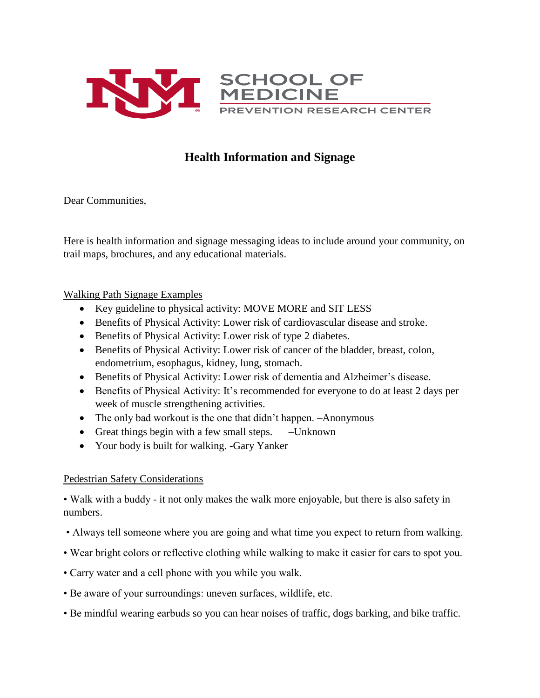

# **Health Information and Signage**

Dear Communities,

Here is health information and signage messaging ideas to include around your community, on trail maps, brochures, and any educational materials.

## Walking Path Signage Examples

- Key guideline to physical activity: MOVE MORE and SIT LESS
- Benefits of Physical Activity: Lower risk of cardiovascular disease and stroke.
- Benefits of Physical Activity: Lower risk of type 2 diabetes.
- Benefits of Physical Activity: Lower risk of cancer of the bladder, breast, colon, endometrium, esophagus, kidney, lung, stomach.
- Benefits of Physical Activity: Lower risk of dementia and Alzheimer's disease.
- Benefits of Physical Activity: It's recommended for everyone to do at least 2 days per week of muscle strengthening activities.
- The only bad workout is the one that didn't happen. -Anonymous
- Great things begin with a few small steps. Unknown
- Your body is built for walking. -Gary Yanker

## Pedestrian Safety Considerations

• Walk with a buddy - it not only makes the walk more enjoyable, but there is also safety in numbers.

- Always tell someone where you are going and what time you expect to return from walking.
- Wear bright colors or reflective clothing while walking to make it easier for cars to spot you.
- Carry water and a cell phone with you while you walk.
- Be aware of your surroundings: uneven surfaces, wildlife, etc.
- Be mindful wearing earbuds so you can hear noises of traffic, dogs barking, and bike traffic.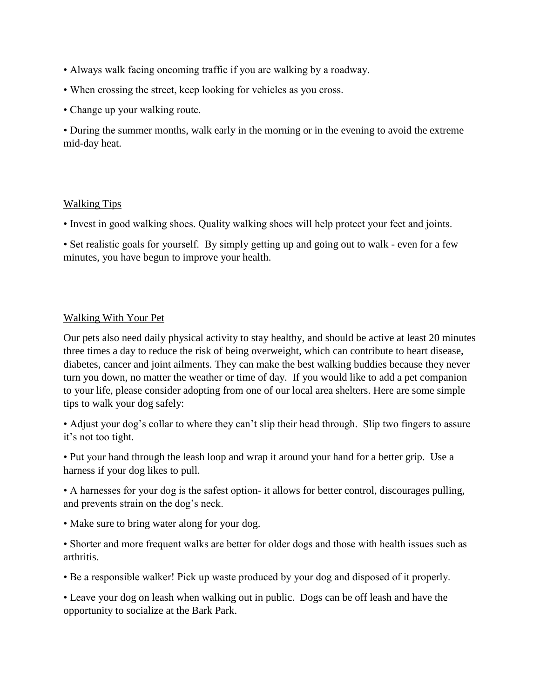- Always walk facing oncoming traffic if you are walking by a roadway.
- When crossing the street, keep looking for vehicles as you cross.
- Change up your walking route.

• During the summer months, walk early in the morning or in the evening to avoid the extreme mid-day heat.

### Walking Tips

• Invest in good walking shoes. Quality walking shoes will help protect your feet and joints.

• Set realistic goals for yourself. By simply getting up and going out to walk - even for a few minutes, you have begun to improve your health.

## Walking With Your Pet

Our pets also need daily physical activity to stay healthy, and should be active at least 20 minutes three times a day to reduce the risk of being overweight, which can contribute to heart disease, diabetes, cancer and joint ailments. They can make the best walking buddies because they never turn you down, no matter the weather or time of day. If you would like to add a pet companion to your life, please consider adopting from one of our local area shelters. Here are some simple tips to walk your dog safely:

• Adjust your dog's collar to where they can't slip their head through. Slip two fingers to assure it's not too tight.

• Put your hand through the leash loop and wrap it around your hand for a better grip. Use a harness if your dog likes to pull.

• A harnesses for your dog is the safest option- it allows for better control, discourages pulling, and prevents strain on the dog's neck.

• Make sure to bring water along for your dog.

• Shorter and more frequent walks are better for older dogs and those with health issues such as arthritis.

• Be a responsible walker! Pick up waste produced by your dog and disposed of it properly.

• Leave your dog on leash when walking out in public. Dogs can be off leash and have the opportunity to socialize at the Bark Park.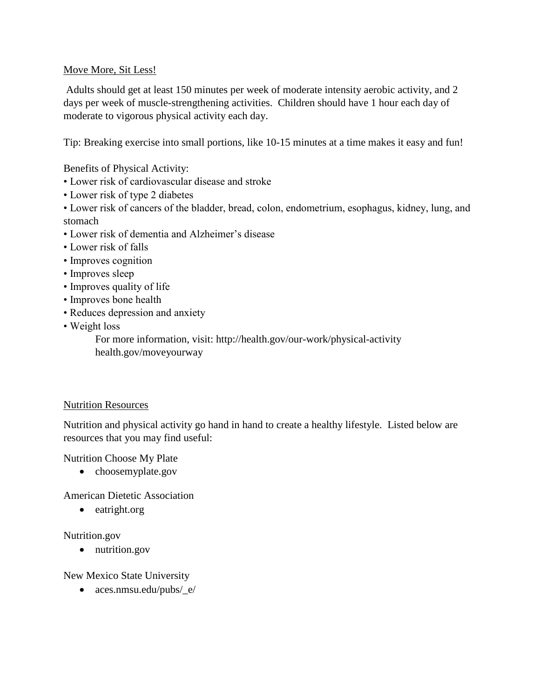## Move More, Sit Less!

Adults should get at least 150 minutes per week of moderate intensity aerobic activity, and 2 days per week of muscle-strengthening activities. Children should have 1 hour each day of moderate to vigorous physical activity each day.

Tip: Breaking exercise into small portions, like 10-15 minutes at a time makes it easy and fun!

Benefits of Physical Activity:

- Lower risk of cardiovascular disease and stroke
- Lower risk of type 2 diabetes
- Lower risk of cancers of the bladder, bread, colon, endometrium, esophagus, kidney, lung, and stomach
- Lower risk of dementia and Alzheimer's disease
- Lower risk of falls
- Improves cognition
- Improves sleep
- Improves quality of life
- Improves bone health
- Reduces depression and anxiety
- Weight loss

For more information, visit: http://health.gov/our-work/physical-activity health.gov/moveyourway

### Nutrition Resources

Nutrition and physical activity go hand in hand to create a healthy lifestyle. Listed below are resources that you may find useful:

Nutrition Choose My Plate

• choosemyplate.gov

American Dietetic Association

• eatright.org

### Nutrition.gov

• nutrition.gov

### New Mexico State University

aces.nmsu.edu/pubs/\_e/